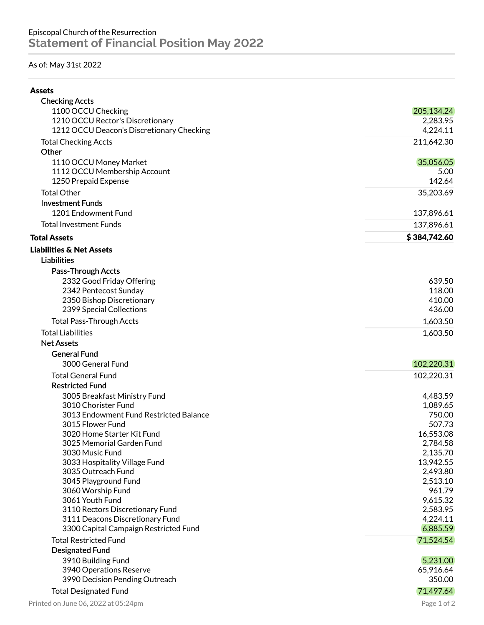## As of: May 31st 2022

| ۰.<br>۰,<br>۰, |
|----------------|
|----------------|

| <b>Checking Accts</b>                                |                     |
|------------------------------------------------------|---------------------|
| 1100 OCCU Checking                                   | 205,134.24          |
| 1210 OCCU Rector's Discretionary                     | 2,283.95            |
| 1212 OCCU Deacon's Discretionary Checking            | 4,224.11            |
| <b>Total Checking Accts</b>                          | 211,642.30          |
| Other                                                |                     |
| 1110 OCCU Money Market                               | 35,056.05           |
| 1112 OCCU Membership Account<br>1250 Prepaid Expense | 5.00<br>142.64      |
|                                                      |                     |
| <b>Total Other</b>                                   | 35,203.69           |
| <b>Investment Funds</b>                              |                     |
| 1201 Endowment Fund                                  | 137,896.61          |
| <b>Total Investment Funds</b>                        | 137,896.61          |
| <b>Total Assets</b>                                  | \$384,742.60        |
| <b>Liabilities &amp; Net Assets</b>                  |                     |
| <b>Liabilities</b>                                   |                     |
| Pass-Through Accts                                   |                     |
| 2332 Good Friday Offering                            | 639.50              |
| 2342 Pentecost Sunday                                | 118.00              |
| 2350 Bishop Discretionary                            | 410.00              |
| 2399 Special Collections                             | 436.00              |
| <b>Total Pass-Through Accts</b>                      | 1,603.50            |
| <b>Total Liabilities</b>                             | 1,603.50            |
| <b>Net Assets</b>                                    |                     |
| <b>General Fund</b>                                  |                     |
| 3000 General Fund                                    | 102,220.31          |
| <b>Total General Fund</b>                            | 102,220.31          |
| <b>Restricted Fund</b>                               |                     |
| 3005 Breakfast Ministry Fund                         | 4,483.59            |
| 3010 Chorister Fund                                  | 1,089.65            |
| 3013 Endowment Fund Restricted Balance               | 750.00              |
| 3015 Flower Fund                                     | 507.73              |
| 3020 Home Starter Kit Fund                           | 16,553.08           |
| 3025 Memorial Garden Fund                            | 2,784.58            |
| 3030 Music Fund                                      | 2,135.70            |
| 3033 Hospitality Village Fund                        | 13,942.55           |
| 3035 Outreach Fund                                   | 2,493.80            |
| 3045 Playground Fund                                 | 2,513.10            |
| 3060 Worship Fund                                    | 961.79              |
| 3061 Youth Fund                                      | 9,615.32            |
| 3110 Rectors Discretionary Fund                      | 2,583.95            |
| 3111 Deacons Discretionary Fund                      | 4,224.11            |
| 3300 Capital Campaign Restricted Fund                | 6,885.59            |
| <b>Total Restricted Fund</b>                         | 71,524.54           |
| <b>Designated Fund</b>                               |                     |
| 3910 Building Fund                                   | 5,231.00            |
| 3940 Operations Reserve                              | 65,916.64<br>350.00 |
| 3990 Decision Pending Outreach                       |                     |
| <b>Total Designated Fund</b>                         | 71,497.64           |
| Printed on June 06, 2022 at 05:24pm                  | Page 1 of 2         |